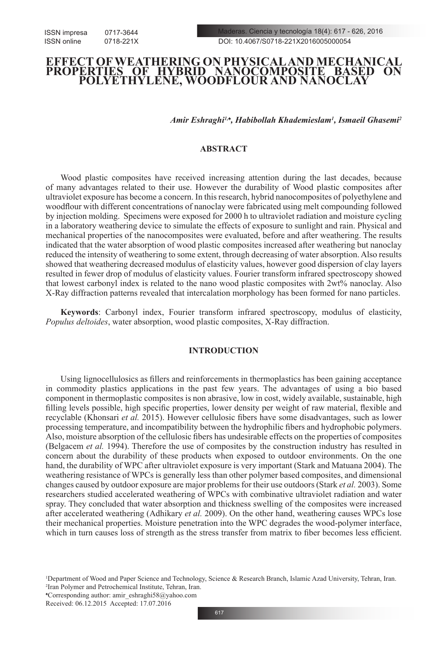ISSN impresa 0717-3644 ISSN online 0718-221X

# **EFFECT OF WEATHERING ON PHYSICAL AND MECHANICAL PROPERTIES OF HYBRID NANOCOMPOSITE BASED ON POLYETHYLENE, WOODFLOUR AND NANOCLAY**

*Amir Eshraghi1,♠, Habibollah Khademieslam1 , Ismaeil Ghasemi2*

# **ABSTRACT**

Wood plastic composites have received increasing attention during the last decades, because of many advantages related to their use. However the durability of Wood plastic composites after ultraviolet exposure has become a concern. In this research, hybrid nanocomposites of polyethylene and woodflour with different concentrations of nanoclay were fabricated using melt compounding followed by injection molding. Specimens were exposed for 2000 h to ultraviolet radiation and moisture cycling in a laboratory weathering device to simulate the effects of exposure to sunlight and rain. Physical and mechanical properties of the nanocomposites were evaluated, before and after weathering. The results indicated that the water absorption of wood plastic composites increased after weathering but nanoclay reduced the intensity of weathering to some extent, through decreasing of water absorption. Also results showed that weathering decreased modulus of elasticity values, however good dispersion of clay layers resulted in fewer drop of modulus of elasticity values. Fourier transform infrared spectroscopy showed that lowest carbonyl index is related to the nano wood plastic composites with 2wt% nanoclay. Also X-Ray diffraction patterns revealed that intercalation morphology has been formed for nano particles.

**Keywords**: Carbonyl index, Fourier transform infrared spectroscopy, modulus of elasticity, *Populus deltoides*, water absorption, wood plastic composites, X-Ray diffraction.

# **INTRODUCTION**

Using lignocellulosics as fillers and reinforcements in thermoplastics has been gaining acceptance in commodity plastics applications in the past few years. The advantages of using a bio based component in thermoplastic composites is non abrasive, low in cost, widely available, sustainable, high filling levels possible, high specific properties, lower density per weight of raw material, flexible and recyclable (Khonsari *et al.* 2015). However cellulosic fibers have some disadvantages, such as lower processing temperature, and incompatibility between the hydrophilic fibers and hydrophobic polymers. Also, moisture absorption of the cellulosic fibers has undesirable effects on the properties of composites (Belgacem *et al.* 1994). Therefore the use of composites by the construction industry has resulted in concern about the durability of these products when exposed to outdoor environments. On the one hand, the durability of WPC after ultraviolet exposure is very important (Stark and Matuana 2004). The weathering resistance of WPCs is generally less than other polymer based composites, and dimensional changes caused by outdoor exposure are major problems for their use outdoors (Stark *et al.* 2003). Some researchers studied accelerated weathering of WPCs with combinative ultraviolet radiation and water spray. They concluded that water absorption and thickness swelling of the composites were increased after accelerated weathering (Adhikary *et al.* 2009). On the other hand, weathering causes WPCs lose their mechanical properties. Moisture penetration into the WPC degrades the wood-polymer interface, which in turn causes loss of strength as the stress transfer from matrix to fiber becomes less efficient.

1 Department of Wood and Paper Science and Technology, Science & Research Branch, Islamic Azad University, Tehran, Iran. 2 Iran Polymer and Petrochemical Institute, Tehran, Iran.

♠ Corresponding author: amir\_eshraghi58@yahoo.com

Received: 06.12.2015 Accepted: 17.07.2016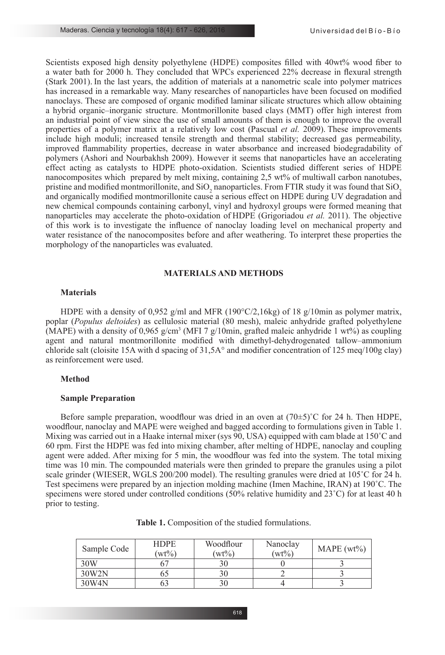Scientists exposed high density polyethylene (HDPE) composites filled with 40wt% wood fiber to a water bath for 2000 h. They concluded that WPCs experienced 22% decrease in flexural strength (Stark 2001). In the last years, the addition of materials at a nanometric scale into polymer matrices has increased in a remarkable way. Many researches of nanoparticles have been focused on modified nanoclays. These are composed of organic modified laminar silicate structures which allow obtaining a hybrid organic–inorganic structure. Montmorillonite based clays (MMT) offer high interest from an industrial point of view since the use of small amounts of them is enough to improve the overall properties of a polymer matrix at a relatively low cost (Pascual *et al.* 2009). These improvements include high moduli; increased tensile strength and thermal stability; decreased gas permeability, improved flammability properties, decrease in water absorbance and increased biodegradability of polymers (Ashori and Nourbakhsh 2009). However it seems that nanoparticles have an accelerating effect acting as catalysts to HDPE photo-oxidation. Scientists studied different series of HDPE nanocomposites which prepared by melt mixing, containing 2,5 wt% of multiwall carbon nanotubes, pristine and modified montmorillonite, and  $SiO_2$  nanoparticles. From FTIR study it was found that  $SiO_2$ and organically modified montmorillonite cause a serious effect on HDPE during UV degradation and new chemical compounds containing carbonyl, vinyl and hydroxyl groups were formed meaning that nanoparticles may accelerate the photo-oxidation of HDPE (Grigoriadou *et al.* 2011). The objective of this work is to investigate the influence of nanoclay loading level on mechanical property and water resistance of the nanocomposites before and after weathering. To interpret these properties the morphology of the nanoparticles was evaluated.

### **MATERIALS AND METHODS**

### **Materials**

HDPE with a density of 0.952 g/ml and MFR (190 $\degree$ C/2,16kg) of 18 g/10min as polymer matrix, poplar (*Populus deltoides*) as cellulosic material (80 mesh), maleic anhydride grafted polyethylene (MAPE) with a density of 0,965  $g/cm^3$  (MFI 7  $g/10$ min, grafted maleic anhydride 1 wt%) as coupling agent and natural montmorillonite modified with dimethyl-dehydrogenated tallow–ammonium chloride salt (cloisite 15A with d spacing of 31,5A° and modifier concentration of 125 meq/100g clay) as reinforcement were used.

### **Method**

### **Sample Preparation**

Before sample preparation, woodflour was dried in an oven at  $(70\pm5)$ °C for 24 h. Then HDPE, woodflour, nanoclay and MAPE were weighed and bagged according to formulations given in Table 1. Mixing was carried out in a Haake internal mixer (sys 90, USA) equipped with cam blade at 150˚C and 60 rpm. First the HDPE was fed into mixing chamber, after melting of HDPE, nanoclay and coupling agent were added. After mixing for 5 min, the woodflour was fed into the system. The total mixing time was 10 min. The compounded materials were then grinded to prepare the granules using a pilot scale grinder (WIESER, WGLS 200/200 model). The resulting granules were dried at 105˚C for 24 h. Test specimens were prepared by an injection molding machine (Imen Machine, IRAN) at 190˚C. The specimens were stored under controlled conditions (50% relative humidity and 23<sup>°</sup>C) for at least 40 h prior to testing.

| Sample Code | <b>HDPE</b><br>$(wt\%)$ | Woodflour<br>$(wt\%)$ | Nanoclay<br>$(wt\%)$ | $MAPE(wt\%)$ |
|-------------|-------------------------|-----------------------|----------------------|--------------|
| 30W         |                         |                       |                      |              |
| 30W2N       | UJ                      |                       |                      |              |
| 30W4N       | DЭ                      |                       |                      |              |

|  |  |  |  |  | <b>Table 1.</b> Composition of the studied formulations. |
|--|--|--|--|--|----------------------------------------------------------|
|--|--|--|--|--|----------------------------------------------------------|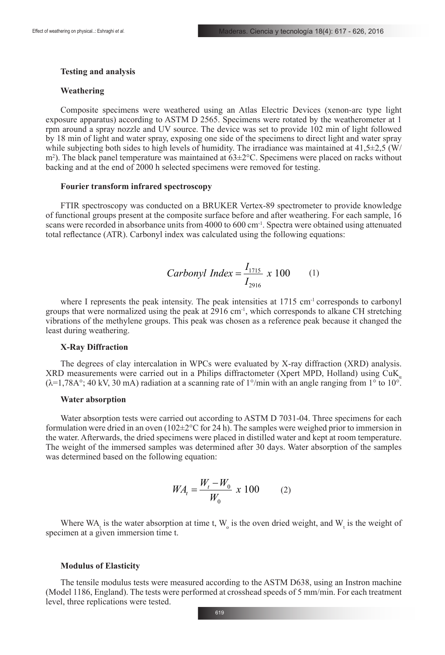### **Testing and analysis**

### **Weathering**

Composite specimens were weathered using an Atlas Electric Devices (xenon-arc type light exposure apparatus) according to ASTM D 2565. Specimens were rotated by the weatherometer at 1 rpm around a spray nozzle and UV source. The device was set to provide 102 min of light followed by 18 min of light and water spray, exposing one side of the specimens to direct light and water spray while subjecting both sides to high levels of humidity. The irradiance was maintained at  $41.5\pm2.5$  (W/  $\text{m}^2$ ). The black panel temperature was maintained at 63 $\pm 2^{\circ}$ C. Specimens were placed on racks without backing and at the end of 2000 h selected specimens were removed for testing.

#### **Fourier transform infrared spectroscopy**

FTIR spectroscopy was conducted on a BRUKER Vertex-89 spectrometer to provide knowledge of functional groups present at the composite surface before and after weathering. For each sample, 16 scans were recorded in absorbance units from 4000 to 600 cm<sup>-1</sup>. Spectra were obtained using attenuated total reflectance (ATR). Carbonyl index was calculated using the following equations:

*Carbonyl Index* = 
$$
\frac{I_{1715}}{I_{2916}}
$$
 x 100 (1)

where I represents the peak intensity. The peak intensities at 1715 cm<sup>-1</sup> corresponds to carbonyl groups that were normalized using the peak at  $2916$  cm<sup>-1</sup>, which corresponds to alkane CH stretching vibrations of the methylene groups. This peak was chosen as a reference peak because it changed the least during weathering.

#### **X-Ray Diffraction**

The degrees of clay intercalation in WPCs were evaluated by X-ray diffraction (XRD) analysis. XRD measurements were carried out in a Philips diffractometer (Xpert MPD, Holland) using CuK  $(\lambda=1,78$ A°; 40 kV, 30 mA) radiation at a scanning rate of 1°/min with an angle ranging from 1° to 10°.

#### **Water absorption**

Water absorption tests were carried out according to ASTM D 7031-04. Three specimens for each formulation were dried in an oven  $(102\pm2^{\circ}C$  for 24 h). The samples were weighed prior to immersion in the water. Afterwards, the dried specimens were placed in distilled water and kept at room temperature. The weight of the immersed samples was determined after 30 days. Water absorption of the samples was determined based on the following equation:

$$
WA_t = \frac{W_t - W_0}{W_0} \times 100 \tag{2}
$$

Where WA<sub>t</sub> is the water absorption at time t, W<sub>o</sub> is the oven dried weight, and W<sub>t</sub> is the weight of specimen at a given immersion time t.

### **Modulus of Elasticity**

The tensile modulus tests were measured according to the ASTM D638, using an Instron machine (Model 1186, England). The tests were performed at crosshead speeds of 5 mm/min. For each treatment level, three replications were tested.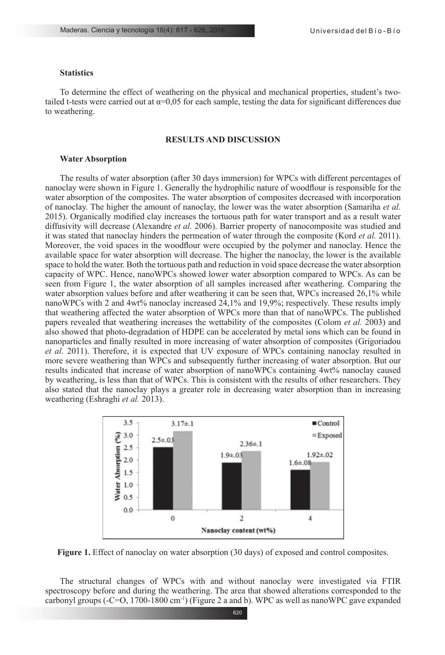### **Statistics**

To determine the effect of weathering on the physical and mechanical properties, student's twotailed t-tests were carried out at  $\alpha = 0.05$  for each sample, testing the data for significant differences due to weathering.

# **RESULTS AND DISCUSSION**

### **Water Absorption**

The results of water absorption (after 30 days immersion) for WPCs with different percentages of nanoclay were shown in Figure 1. Generally the hydrophilic nature of woodflour is responsible for the water absorption of the composites. The water absorption of composites decreased with incorporation of nanoclay. The higher the amount of nanoclay, the lower was the water absorption (Samariha *et al.* 2015). Organically modified clay increases the tortuous path for water transport and as a result water diffusivity will decrease (Alexandre *et al.* 2006). Barrier property of nanocomposite was studied and it was stated that nanoclay hinders the permeation of water through the composite (Kord *et al.* 2011). Moreover, the void spaces in the woodflour were occupied by the polymer and nanoclay. Hence the available space for water absorption will decrease. The higher the nanoclay, the lower is the available space to hold the water. Both the tortuous path and reduction in void space decrease the water absorption capacity of WPC. Hence, nanoWPCs showed lower water absorption compared to WPCs. As can be seen from Figure 1, the water absorption of all samples increased after weathering. Comparing the water absorption values before and after weathering it can be seen that, WPCs increased 26,1% while nanoWPCs with 2 and 4wt% nanoclay increased 24,1% and 19,9%; respectively. These results imply that weathering affected the water absorption of WPCs more than that of nanoWPCs. The published papers revealed that weathering increases the wettability of the composites (Colom *et al.* 2003) and also showed that photo-degradation of HDPE can be accelerated by metal ions which can be found in nanoparticles and finally resulted in more increasing of water absorption of composites (Grigoriadou *et al.* 2011). Therefore, it is expected that UV exposure of WPCs containing nanoclay resulted in more severe weathering than WPCs and subsequently further increasing of water absorption. But our results indicated that increase of water absorption of nanoWPCs containing 4wt% nanoclay caused by weathering, is less than that of WPCs. This is consistent with the results of other researchers. They also stated that the nanoclay plays a greater role in decreasing water absorption than in increasing weathering (Eshraghi *et al.* 2013).



**Figure 1.** Effect of nanoclay on water absorption (30 days) of exposed and control composites.

The structural changes of WPCs with and without nanoclay were investigated via FTIR spectroscopy before and during the weathering. The area that showed alterations corresponded to the carbonyl groups (-C=O, 1700-1800 cm-1) (Figure 2 a and b). WPC as well as nanoWPC gave expanded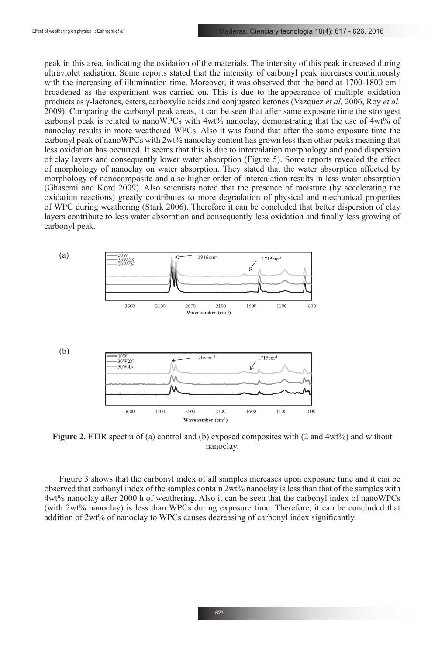peak in this area, indicating the oxidation of the materials. The intensity of this peak increased during ultraviolet radiation. Some reports stated that the intensity of carbonyl peak increases continuously with the increasing of illumination time. Moreover, it was observed that the band at 1700-1800 cm<sup>-1</sup> broadened as the experiment was carried on. This is due to the appearance of multiple oxidation products as γ-lactones, esters, carboxylic acids and conjugated ketones (Vazquez *et al.* 2006, Roy *et al.* 2009). Comparing the carbonyl peak areas, it can be seen that after same exposure time the strongest carbonyl peak is related to nanoWPCs with 4wt% nanoclay, demonstrating that the use of 4wt% of nanoclay results in more weathered WPCs. Also it was found that after the same exposure time the carbonyl peak of nanoWPCs with 2wt% nanoclay content has grown less than other peaks meaning that less oxidation has occurred. It seems that this is due to intercalation morphology and good dispersion of clay layers and consequently lower water absorption (Figure 5). Some reports revealed the effect of morphology of nanoclay on water absorption. They stated that the water absorption affected by morphology of nanocomposite and also higher order of intercalation results in less water absorption (Ghasemi and Kord 2009). Also scientists noted that the presence of moisture (by accelerating the oxidation reactions) greatly contributes to more degradation of physical and mechanical properties of WPC during weathering (Stark 2006). Therefore it can be concluded that better dispersion of clay layers contribute to less water absorption and consequently less oxidation and finally less growing of carbonyl peak.



**Figure 2.** FTIR spectra of (a) control and (b) exposed composites with (2 and 4wt%) and without nanoclay.

Figure 3 shows that the carbonyl index of all samples increases upon exposure time and it can be observed that carbonyl index of the samples contain 2wt% nanoclay is less than that of the samples with 4wt% nanoclay after 2000 h of weathering. Also it can be seen that the carbonyl index of nanoWPCs (with 2wt% nanoclay) is less than WPCs during exposure time. Therefore, it can be concluded that addition of 2wt% of nanoclay to WPCs causes decreasing of carbonyl index significantly.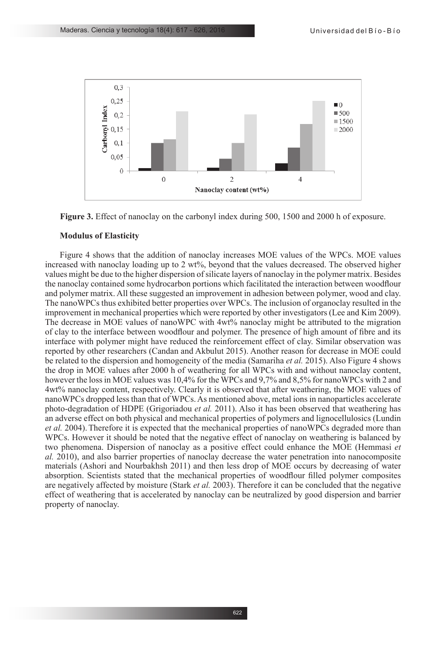



### **Modulus of Elasticity**

Figure 4 shows that the addition of nanoclay increases MOE values of the WPCs. MOE values increased with nanoclay loading up to 2 wt%, beyond that the values decreased. The observed higher values might be due to the higher dispersion of silicate layers of nanoclay in the polymer matrix. Besides the nanoclay contained some hydrocarbon portions which facilitated the interaction between woodflour and polymer matrix. All these suggested an improvement in adhesion between polymer, wood and clay. The nanoWPCs thus exhibited better properties over WPCs. The inclusion of organoclay resulted in the improvement in mechanical properties which were reported by other investigators (Lee and Kim 2009). The decrease in MOE values of nanoWPC with  $4wt\%$  nanoclay might be attributed to the migration of clay to the interface between woodflour and polymer. The presence of high amount of fibre and its interface with polymer might have reduced the reinforcement effect of clay. Similar observation was reported by other researchers (Candan and Akbulut 2015). Another reason for decrease in MOE could be related to the dispersion and homogeneity of the media (Samariha *et al.* 2015). Also Figure 4 shows the drop in MOE values after 2000 h of weathering for all WPCs with and without nanoclay content, however the loss in MOE values was 10,4% for the WPCs and 9,7% and 8,5% for nanoWPCs with 2 and 4wt% nanoclay content, respectively. Clearly it is observed that after weathering, the MOE values of nanoWPCs dropped less than that of WPCs. As mentioned above, metal ions in nanoparticles accelerate photo-degradation of HDPE (Grigoriadou *et al.* 2011). Also it has been observed that weathering has an adverse effect on both physical and mechanical properties of polymers and lignocellulosics (Lundin *et al.* 2004). Therefore it is expected that the mechanical properties of nanoWPCs degraded more than WPCs. However it should be noted that the negative effect of nanoclay on weathering is balanced by two phenomena. Dispersion of nanoclay as a positive effect could enhance the MOE (Hemmasi *et al.* 2010), and also barrier properties of nanoclay decrease the water penetration into nanocomposite materials (Ashori and Nourbakhsh 2011) and then less drop of MOE occurs by decreasing of water absorption. Scientists stated that the mechanical properties of woodflour filled polymer composites are negatively affected by moisture (Stark *et al.* 2003). Therefore it can be concluded that the negative effect of weathering that is accelerated by nanoclay can be neutralized by good dispersion and barrier property of nanoclay.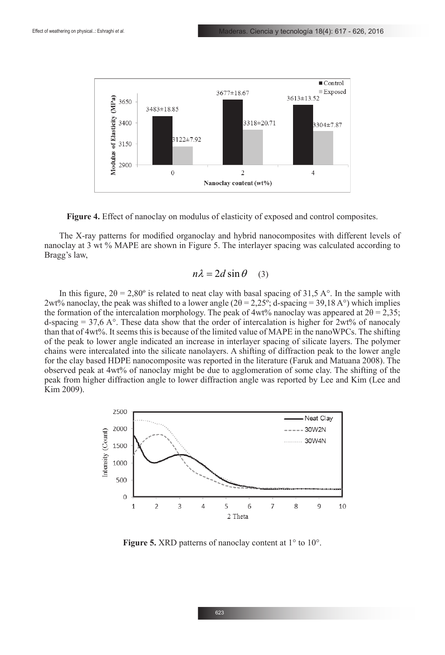

**Figure 4.** Effect of nanoclay on modulus of elasticity of exposed and control composites.

The X-ray patterns for modified organoclay and hybrid nanocomposites with different levels of nanoclay at 3 wt % MAPE are shown in Figure 5. The interlayer spacing was calculated according to Bragg's law,

$$
n\lambda = 2d\sin\theta \quad (3)
$$

In this figure,  $2\theta = 2,80^\circ$  is related to neat clay with basal spacing of 31,5 A°. In the sample with 2wt% nanoclay, the peak was shifted to a lower angle  $(2\theta = 2.25^\circ; d\text{-}spacing = 39.18 \text{ A}^\circ)$  which implies the formation of the intercalation morphology. The peak of 4wt% nanoclay was appeared at  $2\theta = 2.35$ ; d-spacing  $= 37.6$  A°. These data show that the order of intercalation is higher for 2wt% of nanocaly than that of 4wt%. It seems this is because of the limited value of MAPE in the nanoWPCs. The shifting of the peak to lower angle indicated an increase in interlayer spacing of silicate layers. The polymer chains were intercalated into the silicate nanolayers. A shifting of diffraction peak to the lower angle for the clay based HDPE nanocomposite was reported in the literature (Faruk and Matuana 2008). The observed peak at 4wt% of nanoclay might be due to agglomeration of some clay. The shifting of the peak from higher diffraction angle to lower diffraction angle was reported by Lee and Kim (Lee and Kim 2009).



**Figure 5.** XRD patterns of nanoclay content at 1° to 10°.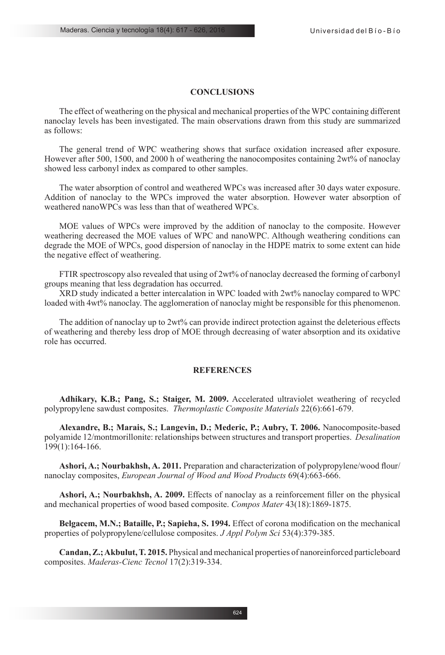# **CONCLUSIONS**

The effect of weathering on the physical and mechanical properties of the WPC containing different nanoclay levels has been investigated. The main observations drawn from this study are summarized as follows:

The general trend of WPC weathering shows that surface oxidation increased after exposure. However after 500, 1500, and 2000 h of weathering the nanocomposites containing 2wt% of nanoclay showed less carbonyl index as compared to other samples.

The water absorption of control and weathered WPCs was increased after 30 days water exposure. Addition of nanoclay to the WPCs improved the water absorption. However water absorption of weathered nanoWPCs was less than that of weathered WPCs.

MOE values of WPCs were improved by the addition of nanoclay to the composite. However weathering decreased the MOE values of WPC and nanoWPC. Although weathering conditions can degrade the MOE of WPCs, good dispersion of nanoclay in the HDPE matrix to some extent can hide the negative effect of weathering.

FTIR spectroscopy also revealed that using of 2wt% of nanoclay decreased the forming of carbonyl groups meaning that less degradation has occurred.

XRD study indicated a better intercalation in WPC loaded with 2wt% nanoclay compared to WPC loaded with 4wt% nanoclay. The agglomeration of nanoclay might be responsible for this phenomenon.

The addition of nanoclay up to  $2wt\%$  can provide indirect protection against the deleterious effects of weathering and thereby less drop of MOE through decreasing of water absorption and its oxidative role has occurred.

### **REFERENCES**

**Adhikary, K.B.; Pang, S.; Staiger, M. 2009.** Accelerated ultraviolet weathering of recycled polypropylene sawdust composites. *Thermoplastic Composite Materials* 22(6):661-679.

**Alexandre, B.; Marais, S.; Langevin, D.; Mederic, P.; Aubry, T. 2006.** Nanocomposite-based polyamide 12/montmorillonite: relationships between structures and transport properties. *Desalination* 199(1):164-166.

**Ashori, A.; Nourbakhsh, A. 2011.** Preparation and characterization of polypropylene/wood flour/ nanoclay composites, *European Journal of Wood and Wood Products* 69(4):663-666.

**Ashori, A.; Nourbakhsh, A. 2009.** Effects of nanoclay as a reinforcement filler on the physical and mechanical properties of wood based composite. *Compos Mater* 43(18):1869-1875.

**Belgacem, M.N.; Bataille, P.; Sapieha, S. 1994.** Effect of corona modification on the mechanical properties of polypropylene/cellulose composites. *J Appl Polym Sci* 53(4):379-385.

**Candan, Z.; Akbulut, T. 2015.** Physical and mechanical properties of nanoreinforced particleboard composites. *Maderas-Cienc Tecnol* 17(2):319-334.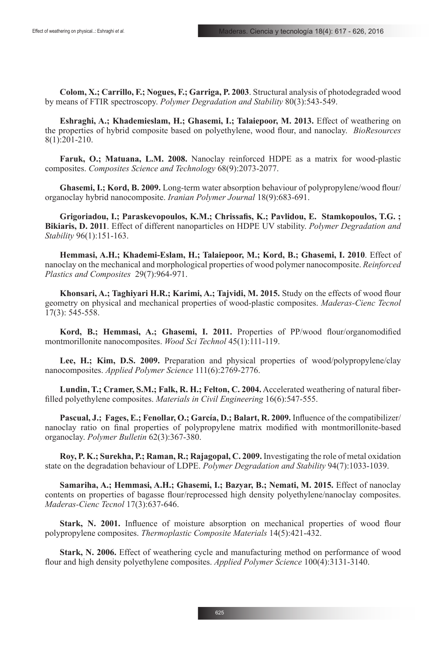**Colom, X.; Carrillo, F.; Nogues, F.; Garriga, P. 2003**. Structural analysis of photodegraded wood by means of FTIR spectroscopy. *Polymer Degradation and Stability* 80(3):543-549.

**Eshraghi, A.; Khademieslam, H.; Ghasemi, I.; Talaiepoor, M. 2013.** Effect of weathering on the properties of hybrid composite based on polyethylene, wood flour, and nanoclay. *BioResources* 8(1):201-210.

**Faruk, O.; Matuana, L.M. 2008.** Nanoclay reinforced HDPE as a matrix for wood-plastic composites. *Composites Science and Technology* 68(9):2073-2077.

**Ghasemi, I.; Kord, B. 2009.** Long-term water absorption behaviour of polypropylene/wood flour/ organoclay hybrid nanocomposite. *Iranian Polymer Journal* 18(9):683-691.

**Grigoriadou, I.; Paraskevopoulos, K.M.; Chrissafis, K.; Pavlidou, E. Stamkopoulos, T.G. ; Bikiaris, D. 2011**. Effect of different nanoparticles on HDPE UV stability. *Polymer Degradation and Stability* 96(1):151-163.

**Hemmasi, A.H.; Khademi-Eslam, H.; Talaiepoor, M.; Kord, B.; Ghasemi, I. 2010**. Effect of nanoclay on the mechanical and morphological properties of wood polymer nanocomposite. *Reinforced Plastics and Composites* 29(7):964-971.

**Khonsari, A.; Taghiyari H.R.; Karimi, A.; Tajvidi, M. 2015.** Study on the effects of wood flour geometry on physical and mechanical properties of wood-plastic composites. *Maderas-Cienc Tecnol* 17(3): 545-558.

**Kord, B.; Hemmasi, A.; Ghasemi, I. 2011.** Properties of PP/wood flour/organomodified montmorillonite nanocomposites. *Wood Sci Technol* 45(1):111-119.

Lee, H.; Kim, D.S. 2009. Preparation and physical properties of wood/polypropylene/clay nanocomposites. *Applied Polymer Science* 111(6):2769-2776.

**Lundin, T.; Cramer, S.M.; Falk, R. H.; Felton, C. 2004.** Accelerated weathering of natural fiberfilled polyethylene composites. *Materials in Civil Engineering* 16(6):547-555.

**Pascual, J.; Fages, E.; Fenollar, O.; García, D.; Balart, R. 2009.** Influence of the compatibilizer/ nanoclay ratio on final properties of polypropylene matrix modified with montmorillonite-based organoclay. *Polymer Bulletin* 62(3):367-380.

**Roy, P. K.; Surekha, P.; Raman, R.; Rajagopal, C. 2009.** Investigating the role of metal oxidation state on the degradation behaviour of LDPE. *Polymer Degradation and Stability* 94(7):1033-1039.

**Samariha, A.; Hemmasi, A.H.; Ghasemi, I.; Bazyar, B.; Nemati, M. 2015.** Effect of nanoclay contents on properties of bagasse flour/reprocessed high density polyethylene/nanoclay composites. *Maderas-Cienc Tecnol* 17(3):637-646.

**Stark, N. 2001.** Influence of moisture absorption on mechanical properties of wood flour polypropylene composites. *Thermoplastic Composite Materials* 14(5):421-432.

**Stark, N. 2006.** Effect of weathering cycle and manufacturing method on performance of wood flour and high density polyethylene composites. *Applied Polymer Science* 100(4):3131-3140.